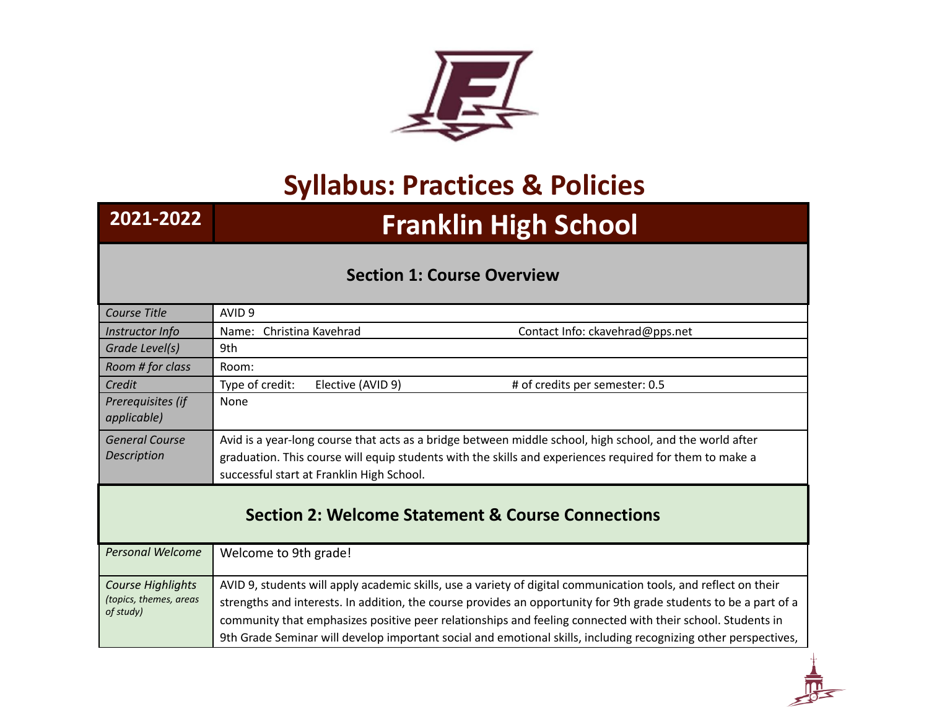

## **Syllabus: Practices & Policies**

# **2021-2022 Franklin High School**

#### **Section 1: Course Overview**

| AVID <sub>9</sub>                                                                                                                                                                                                   |  |  |
|---------------------------------------------------------------------------------------------------------------------------------------------------------------------------------------------------------------------|--|--|
| Name: Christina Kavehrad<br>Contact Info: ckavehrad@pps.net                                                                                                                                                         |  |  |
| 9th                                                                                                                                                                                                                 |  |  |
| Room:                                                                                                                                                                                                               |  |  |
| Type of credit:<br># of credits per semester: 0.5<br>Elective (AVID 9)                                                                                                                                              |  |  |
| None                                                                                                                                                                                                                |  |  |
| Avid is a year-long course that acts as a bridge between middle school, high school, and the world after<br>graduation. This course will equip students with the skills and experiences required for them to make a |  |  |
| successful start at Franklin High School.                                                                                                                                                                           |  |  |
| <b>Section 2: Welcome Statement &amp; Course Connections</b>                                                                                                                                                        |  |  |
| Welcome to 9th grade!                                                                                                                                                                                               |  |  |
| AVID 9, students will apply academic skills, use a variety of digital communication tools, and reflect on their                                                                                                     |  |  |
| strengths and interests. In addition, the course provides an opportunity for 9th grade students to be a part of a                                                                                                   |  |  |
| community that emphasizes positive peer relationships and feeling connected with their school. Students in                                                                                                          |  |  |
| 9th Grade Seminar will develop important social and emotional skills, including recognizing other perspectives,                                                                                                     |  |  |
|                                                                                                                                                                                                                     |  |  |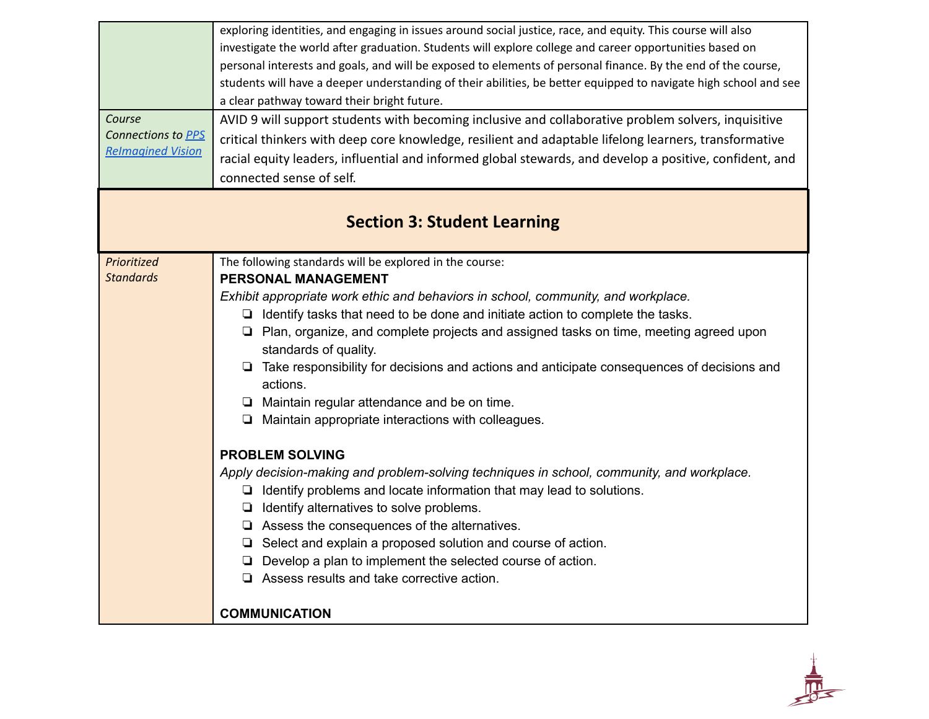|                          | exploring identities, and engaging in issues around social justice, race, and equity. This course will also      |
|--------------------------|------------------------------------------------------------------------------------------------------------------|
|                          | investigate the world after graduation. Students will explore college and career opportunities based on          |
|                          | personal interests and goals, and will be exposed to elements of personal finance. By the end of the course,     |
|                          | students will have a deeper understanding of their abilities, be better equipped to navigate high school and see |
|                          | a clear pathway toward their bright future.                                                                      |
| Course                   | AVID 9 will support students with becoming inclusive and collaborative problem solvers, inquisitive              |
| Connections to PPS       | critical thinkers with deep core knowledge, resilient and adaptable lifelong learners, transformative            |
| <b>Relmagined Vision</b> | racial equity leaders, influential and informed global stewards, and develop a positive, confident, and          |
|                          | connected sense of self.                                                                                         |
|                          |                                                                                                                  |
|                          | <b>Section 3: Student Learning</b>                                                                               |
|                          |                                                                                                                  |
| Prioritized              | The following standards will be explored in the course:                                                          |
| <b>Standards</b>         | <b>PERSONAL MANAGEMENT</b>                                                                                       |
|                          | Exhibit appropriate work ethic and behaviors in school, community, and workplace.                                |
|                          | $\Box$ Identify tasks that need to be done and initiate action to complete the tasks.                            |
|                          | □ Plan, organize, and complete projects and assigned tasks on time, meeting agreed upon                          |
|                          | standards of quality.                                                                                            |
|                          | □ Take responsibility for decisions and actions and anticipate consequences of decisions and<br>actions.         |
|                          | $\Box$ Maintain regular attendance and be on time.                                                               |
|                          | Maintain appropriate interactions with colleagues.<br>u.                                                         |
|                          | <b>PROBLEM SOLVING</b>                                                                                           |
|                          | Apply decision-making and problem-solving techniques in school, community, and workplace.                        |
|                          | $\Box$ Identify problems and locate information that may lead to solutions.                                      |
|                          | $\Box$ Identify alternatives to solve problems.                                                                  |
|                          | $\Box$ Assess the consequences of the alternatives.                                                              |
|                          | $\Box$ Select and explain a proposed solution and course of action.                                              |
|                          | Develop a plan to implement the selected course of action.<br>⊔                                                  |
|                          | $\Box$ Assess results and take corrective action.                                                                |
|                          | <b>COMMUNICATION</b>                                                                                             |
|                          |                                                                                                                  |

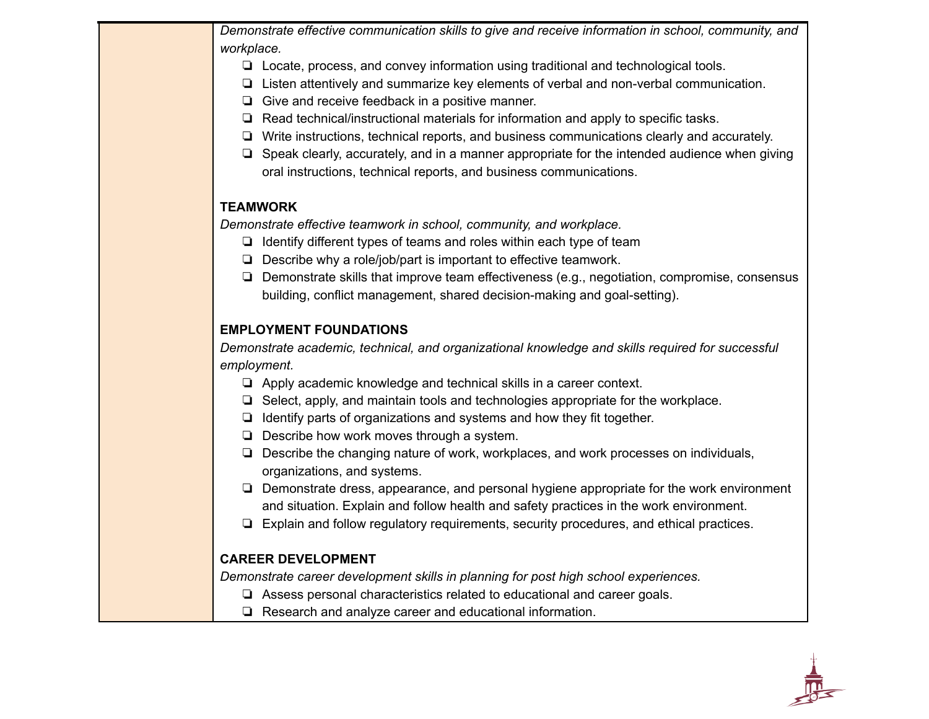*Demonstrate effective communication skills to give and receive information in school, community, and workplace.*

- ❏ Locate, process, and convey information using traditional and technological tools.
- ❏ Listen attentively and summarize key elements of verbal and non-verbal communication.
- ❏ Give and receive feedback in a positive manner.
- ❏ Read technical/instructional materials for information and apply to specific tasks.
- ❏ Write instructions, technical reports, and business communications clearly and accurately.
- ❏ Speak clearly, accurately, and in a manner appropriate for the intended audience when giving oral instructions, technical reports, and business communications.

#### **TEAMWORK**

*Demonstrate effective teamwork in school, community, and workplace.*

- ❏ Identify different types of teams and roles within each type of team
- ❏ Describe why a role/job/part is important to effective teamwork.
- ❏ Demonstrate skills that improve team effectiveness (e.g., negotiation, compromise, consensus building, conflict management, shared decision-making and goal-setting).

#### **EMPLOYMENT FOUNDATIONS**

*Demonstrate academic, technical, and organizational knowledge and skills required for successful employment.*

- ❏ Apply academic knowledge and technical skills in a career context.
- ❏ Select, apply, and maintain tools and technologies appropriate for the workplace.
- ❏ Identify parts of organizations and systems and how they fit together.
- ❏ Describe how work moves through a system.
- ❏ Describe the changing nature of work, workplaces, and work processes on individuals, organizations, and systems.
- ❏ Demonstrate dress, appearance, and personal hygiene appropriate for the work environment and situation. Explain and follow health and safety practices in the work environment.
- ❏ Explain and follow regulatory requirements, security procedures, and ethical practices.

#### **CAREER DEVELOPMENT**

*Demonstrate career development skills in planning for post high school experiences.*

- ❏ Assess personal characteristics related to educational and career goals.
- ❏ Research and analyze career and educational information.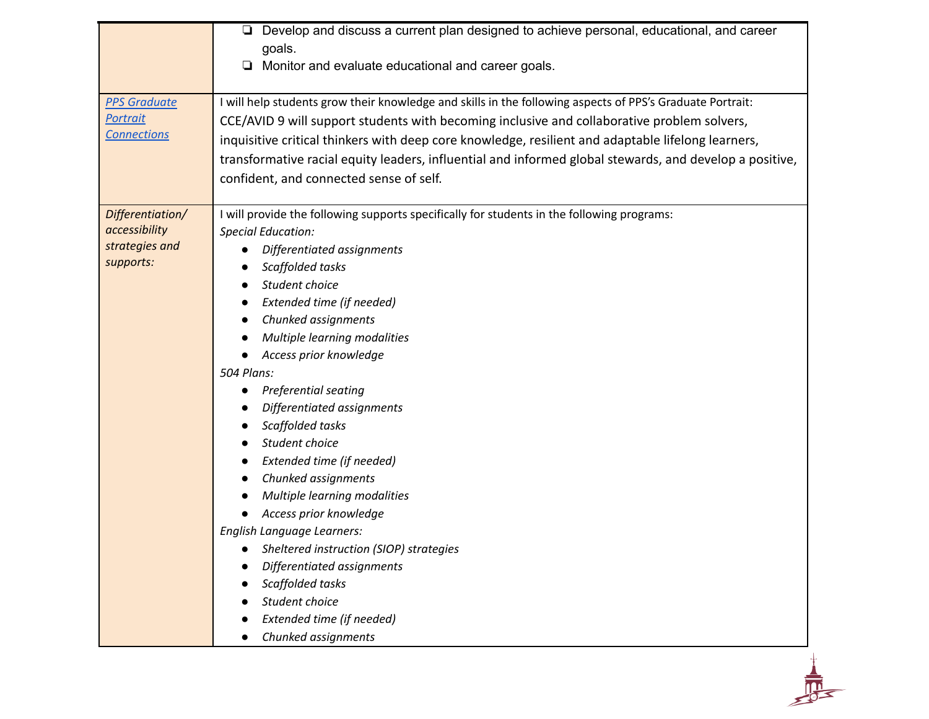|                     | Develop and discuss a current plan designed to achieve personal, educational, and career<br>□             |
|---------------------|-----------------------------------------------------------------------------------------------------------|
|                     | goals.                                                                                                    |
|                     | Monitor and evaluate educational and career goals.<br>□                                                   |
| <b>PPS Graduate</b> | I will help students grow their knowledge and skills in the following aspects of PPS's Graduate Portrait: |
| <b>Portrait</b>     | CCE/AVID 9 will support students with becoming inclusive and collaborative problem solvers,               |
| <b>Connections</b>  | inquisitive critical thinkers with deep core knowledge, resilient and adaptable lifelong learners,        |
|                     | transformative racial equity leaders, influential and informed global stewards, and develop a positive,   |
|                     | confident, and connected sense of self.                                                                   |
|                     |                                                                                                           |
| Differentiation/    | I will provide the following supports specifically for students in the following programs:                |
| accessibility       | <b>Special Education:</b>                                                                                 |
| strategies and      | Differentiated assignments                                                                                |
| supports:           | Scaffolded tasks                                                                                          |
|                     | Student choice                                                                                            |
|                     | Extended time (if needed)                                                                                 |
|                     | Chunked assignments                                                                                       |
|                     | Multiple learning modalities                                                                              |
|                     | Access prior knowledge                                                                                    |
|                     | 504 Plans:                                                                                                |
|                     | <b>Preferential seating</b>                                                                               |
|                     | Differentiated assignments                                                                                |
|                     | Scaffolded tasks                                                                                          |
|                     | Student choice                                                                                            |
|                     | Extended time (if needed)                                                                                 |
|                     | Chunked assignments                                                                                       |
|                     | Multiple learning modalities                                                                              |
|                     | Access prior knowledge                                                                                    |
|                     | English Language Learners:                                                                                |
|                     | Sheltered instruction (SIOP) strategies                                                                   |
|                     | Differentiated assignments                                                                                |
|                     | Scaffolded tasks                                                                                          |
|                     | Student choice                                                                                            |
|                     | Extended time (if needed)                                                                                 |
|                     | Chunked assignments                                                                                       |
|                     |                                                                                                           |
|                     |                                                                                                           |
|                     |                                                                                                           |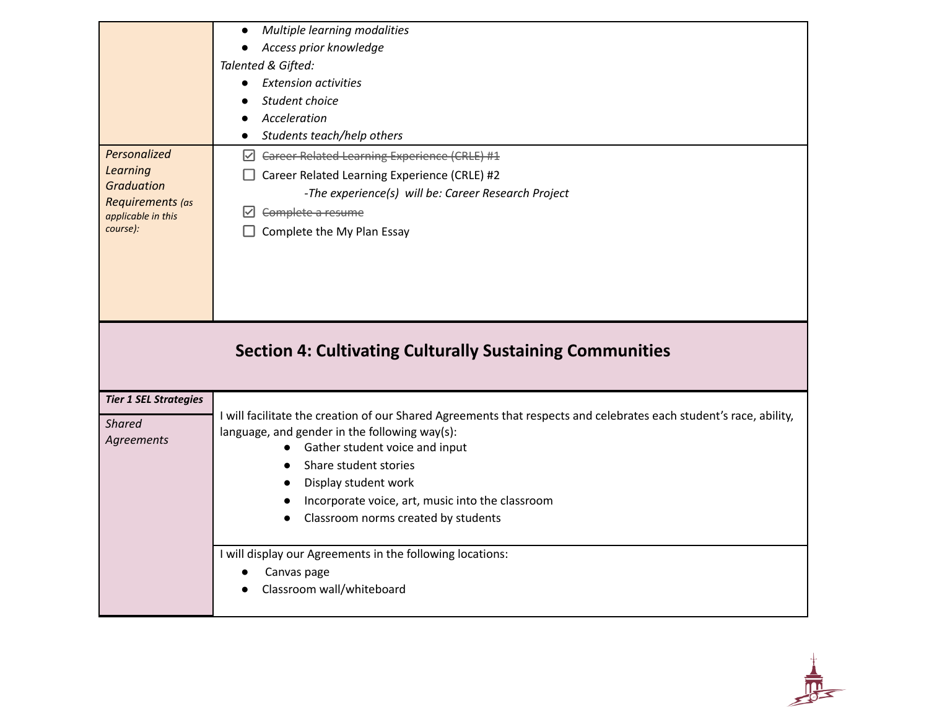|                                                                                                     | Multiple learning modalities<br>$\bullet$<br>Access prior knowledge<br>$\bullet$<br>Talented & Gifted:<br><b>Extension activities</b><br>$\bullet$<br>Student choice                                                                                                                                                                                                                                  |
|-----------------------------------------------------------------------------------------------------|-------------------------------------------------------------------------------------------------------------------------------------------------------------------------------------------------------------------------------------------------------------------------------------------------------------------------------------------------------------------------------------------------------|
|                                                                                                     | Acceleration<br>Students teach/help others<br>$\bullet$                                                                                                                                                                                                                                                                                                                                               |
| Personalized<br>Learning<br><b>Graduation</b><br>Requirements (as<br>applicable in this<br>course): | $\boxdot$ Career Related Learning Experience (CRLE) #1<br>Career Related Learning Experience (CRLE) #2<br>-The experience(s) will be: Career Research Project<br>Complete a resume<br>⊻<br>Complete the My Plan Essay                                                                                                                                                                                 |
|                                                                                                     | <b>Section 4: Cultivating Culturally Sustaining Communities</b>                                                                                                                                                                                                                                                                                                                                       |
| <b>Tier 1 SEL Strategies</b><br><b>Shared</b><br>Agreements                                         | I will facilitate the creation of our Shared Agreements that respects and celebrates each student's race, ability,<br>language, and gender in the following way(s):<br>Gather student voice and input<br>$\bullet$<br>Share student stories<br>$\bullet$<br>Display student work<br>$\bullet$<br>Incorporate voice, art, music into the classroom<br>Classroom norms created by students<br>$\bullet$ |
|                                                                                                     | I will display our Agreements in the following locations:<br>Canvas page                                                                                                                                                                                                                                                                                                                              |

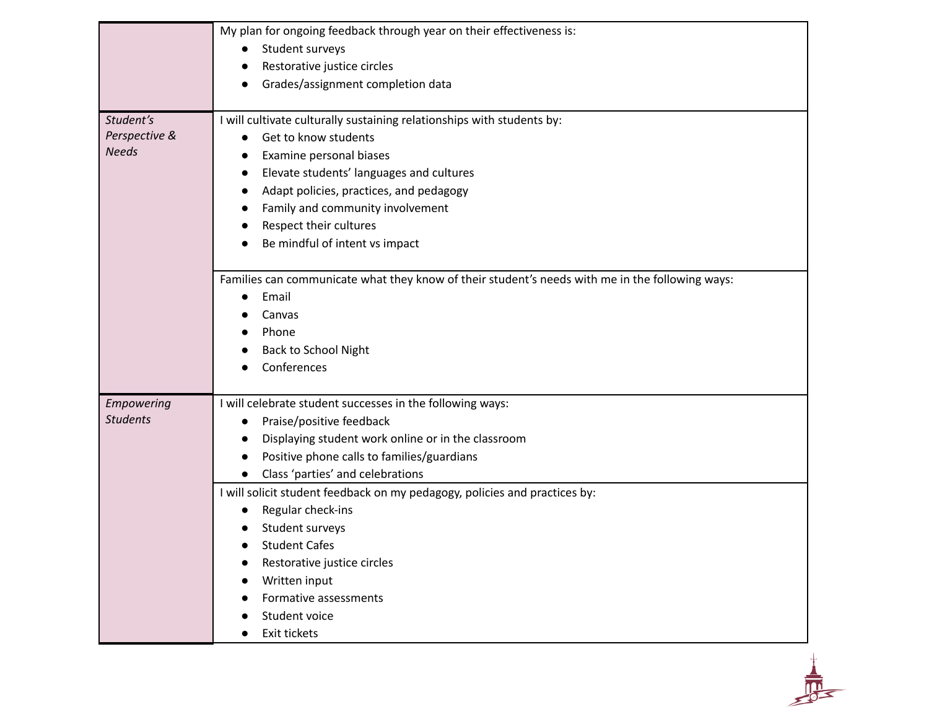|                 | My plan for ongoing feedback through year on their effectiveness is:                            |
|-----------------|-------------------------------------------------------------------------------------------------|
|                 | Student surveys                                                                                 |
|                 | Restorative justice circles                                                                     |
|                 | Grades/assignment completion data                                                               |
|                 |                                                                                                 |
| Student's       | I will cultivate culturally sustaining relationships with students by:                          |
| Perspective &   | Get to know students<br>$\bullet$                                                               |
| <b>Needs</b>    | Examine personal biases                                                                         |
|                 | Elevate students' languages and cultures<br>$\bullet$                                           |
|                 | Adapt policies, practices, and pedagogy<br>$\bullet$                                            |
|                 | Family and community involvement<br>$\bullet$                                                   |
|                 | Respect their cultures                                                                          |
|                 | Be mindful of intent vs impact                                                                  |
|                 |                                                                                                 |
|                 | Families can communicate what they know of their student's needs with me in the following ways: |
|                 | Email                                                                                           |
|                 | Canvas                                                                                          |
|                 | Phone                                                                                           |
|                 | Back to School Night                                                                            |
|                 | Conferences                                                                                     |
|                 |                                                                                                 |
| Empowering      | I will celebrate student successes in the following ways:                                       |
| <b>Students</b> | Praise/positive feedback<br>$\bullet$                                                           |
|                 | Displaying student work online or in the classroom                                              |
|                 | Positive phone calls to families/guardians<br>$\bullet$                                         |
|                 | Class 'parties' and celebrations<br>$\bullet$                                                   |
|                 | I will solicit student feedback on my pedagogy, policies and practices by:                      |
|                 | Regular check-ins                                                                               |
|                 | Student surveys                                                                                 |
|                 | <b>Student Cafes</b>                                                                            |
|                 | Restorative justice circles                                                                     |
|                 | Written input                                                                                   |
|                 | Formative assessments                                                                           |
|                 | Student voice                                                                                   |
|                 | Exit tickets                                                                                    |

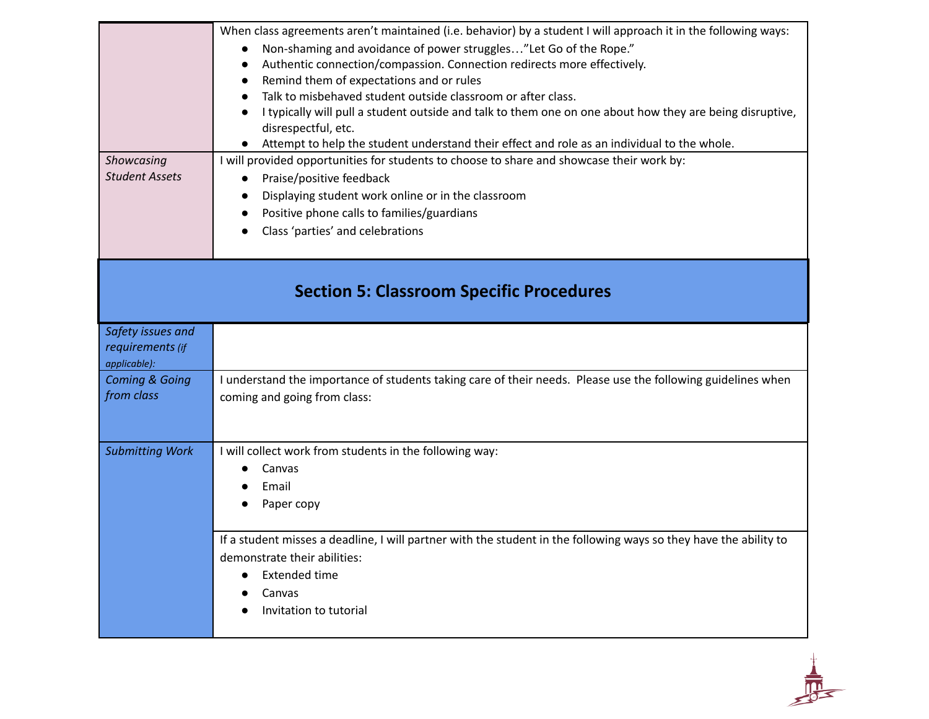| Showcasing<br><b>Student Assets</b>                   | When class agreements aren't maintained (i.e. behavior) by a student I will approach it in the following ways:<br>Non-shaming and avoidance of power struggles"Let Go of the Rope."<br>Authentic connection/compassion. Connection redirects more effectively.<br>Remind them of expectations and or rules<br>Talk to misbehaved student outside classroom or after class.<br>I typically will pull a student outside and talk to them one on one about how they are being disruptive,<br>disrespectful, etc.<br>Attempt to help the student understand their effect and role as an individual to the whole.<br>I will provided opportunities for students to choose to share and showcase their work by:<br>Praise/positive feedback<br>$\bullet$<br>Displaying student work online or in the classroom<br>Positive phone calls to families/guardians<br>Class 'parties' and celebrations |
|-------------------------------------------------------|--------------------------------------------------------------------------------------------------------------------------------------------------------------------------------------------------------------------------------------------------------------------------------------------------------------------------------------------------------------------------------------------------------------------------------------------------------------------------------------------------------------------------------------------------------------------------------------------------------------------------------------------------------------------------------------------------------------------------------------------------------------------------------------------------------------------------------------------------------------------------------------------|
| <b>Section 5: Classroom Specific Procedures</b>       |                                                                                                                                                                                                                                                                                                                                                                                                                                                                                                                                                                                                                                                                                                                                                                                                                                                                                            |
| Safety issues and<br>requirements (if<br>applicable): |                                                                                                                                                                                                                                                                                                                                                                                                                                                                                                                                                                                                                                                                                                                                                                                                                                                                                            |
| <b>Coming &amp; Going</b><br>from class               | I understand the importance of students taking care of their needs. Please use the following guidelines when<br>coming and going from class:                                                                                                                                                                                                                                                                                                                                                                                                                                                                                                                                                                                                                                                                                                                                               |
| <b>Submitting Work</b>                                | I will collect work from students in the following way:<br>Canvas<br>Email<br>Paper copy                                                                                                                                                                                                                                                                                                                                                                                                                                                                                                                                                                                                                                                                                                                                                                                                   |
|                                                       | If a student misses a deadline, I will partner with the student in the following ways so they have the ability to<br>demonstrate their abilities:<br><b>Extended time</b><br>Canvas<br>Invitation to tutorial                                                                                                                                                                                                                                                                                                                                                                                                                                                                                                                                                                                                                                                                              |

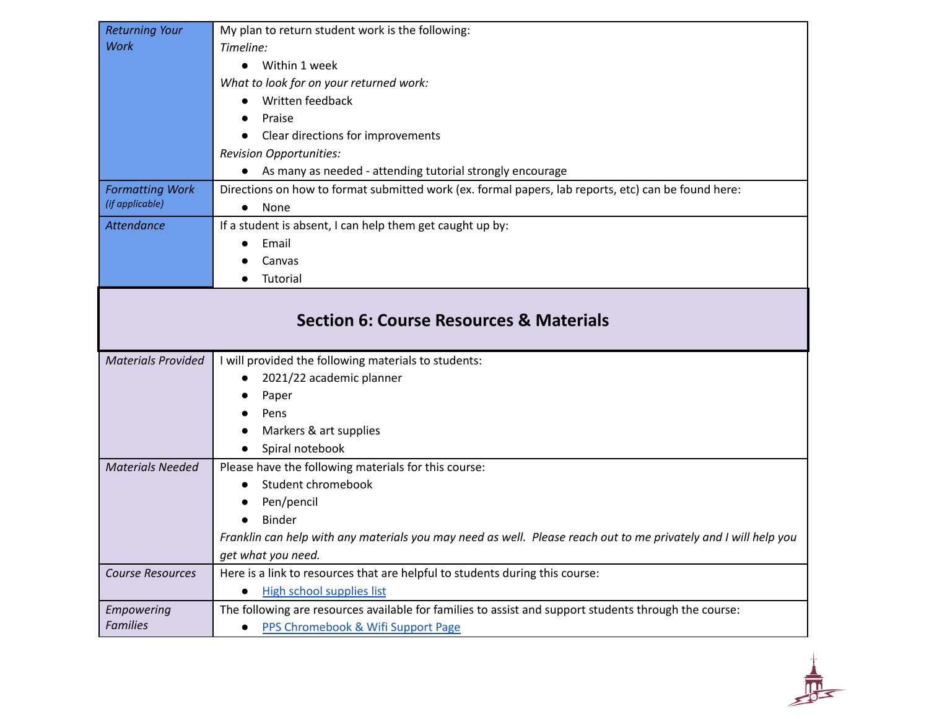| <b>Returning Your</b>         | My plan to return student work is the following:                                                                                            |
|-------------------------------|---------------------------------------------------------------------------------------------------------------------------------------------|
| <b>Work</b>                   | Timeline:                                                                                                                                   |
|                               | Within 1 week<br>$\bullet$                                                                                                                  |
|                               | What to look for on your returned work:                                                                                                     |
|                               | Written feedback                                                                                                                            |
|                               | Praise<br>$\bullet$                                                                                                                         |
|                               | Clear directions for improvements<br>$\bullet$                                                                                              |
|                               | <b>Revision Opportunities:</b>                                                                                                              |
|                               | As many as needed - attending tutorial strongly encourage<br>$\bullet$                                                                      |
| <b>Formatting Work</b>        | Directions on how to format submitted work (ex. formal papers, lab reports, etc) can be found here:                                         |
| (if applicable)               | None<br>$\bullet$                                                                                                                           |
| <b>Attendance</b>             | If a student is absent, I can help them get caught up by:                                                                                   |
|                               | Email<br>$\bullet$                                                                                                                          |
|                               | Canvas                                                                                                                                      |
|                               | Tutorial<br>$\bullet$                                                                                                                       |
|                               |                                                                                                                                             |
|                               | <b>Section 6: Course Resources &amp; Materials</b>                                                                                          |
| <b>Materials Provided</b>     | I will provided the following materials to students:                                                                                        |
|                               | 2021/22 academic planner                                                                                                                    |
|                               | Paper                                                                                                                                       |
|                               | Pens                                                                                                                                        |
|                               | Markers & art supplies                                                                                                                      |
|                               | Spiral notebook                                                                                                                             |
| <b>Materials Needed</b>       | Please have the following materials for this course:                                                                                        |
|                               | Student chromebook<br>$\bullet$                                                                                                             |
|                               | Pen/pencil<br>$\bullet$                                                                                                                     |
|                               | <b>Binder</b>                                                                                                                               |
|                               | Franklin can help with any materials you may need as well. Please reach out to me privately and I will help you                             |
|                               | get what you need.                                                                                                                          |
| <b>Course Resources</b>       | Here is a link to resources that are helpful to students during this course:                                                                |
|                               | High school supplies list                                                                                                                   |
| Empowering<br><b>Families</b> | The following are resources available for families to assist and support students through the course:<br>PPS Chromebook & Wifi Support Page |

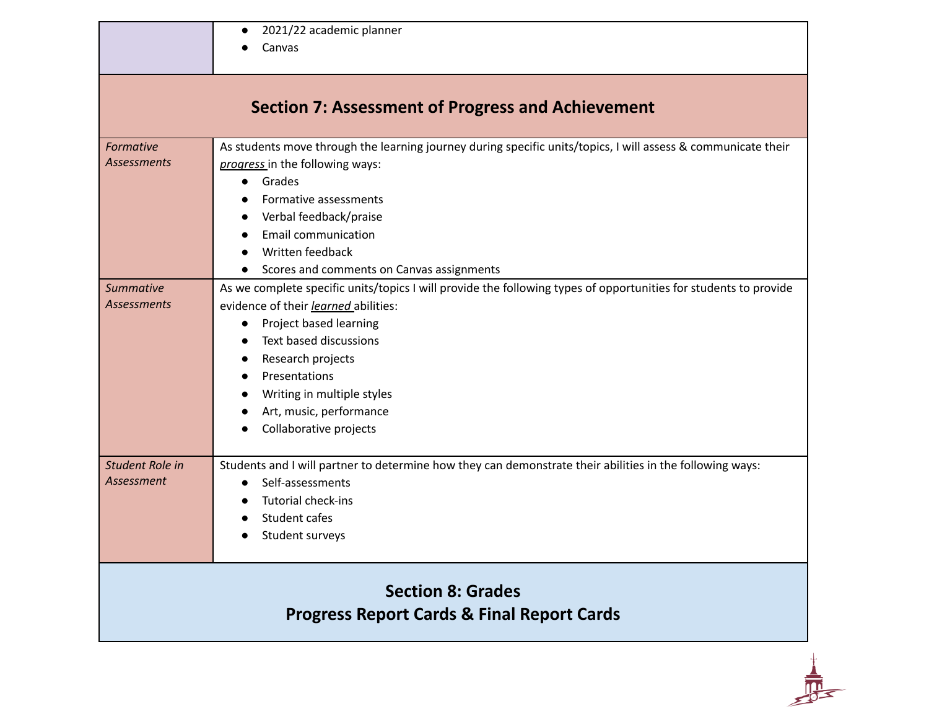|  | 2021/22 academic planner |
|--|--------------------------|
|--|--------------------------|

● Canvas

*Formative Assessments* As students move through the learning journey during specific units/topics, I will assess & communicate their *progress* in the following ways: ● Grades ● Formative assessments ● Verbal feedback/praise ● Email communication ● Written feedback ● Scores and comments on Canvas assignments *Summative Assessments* As we complete specific units/topics I will provide the following types of opportunities for students to provide evidence of their *learned* abilities: ● Project based learning ● Text based discussions ● Research projects ● Presentations ● Writing in multiple styles ● Art, music, performance ● Collaborative projects *Student Role in Assessment* Students and I will partner to determine how they can demonstrate their abilities in the following ways: ● Self-assessments ● Tutorial check-ins ● Student cafes ● Student surveys

### **Section 8: Grades Progress Report Cards & Final Report Cards**